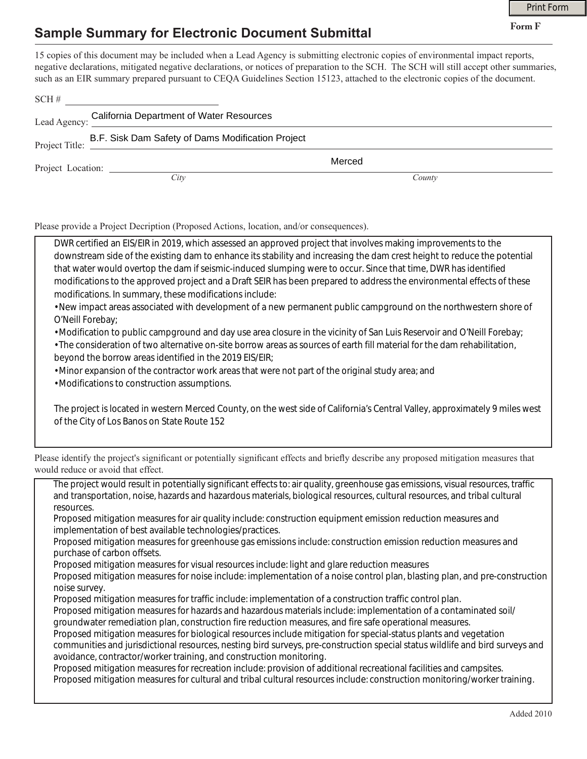## **Sample Summary for Electronic Document Submittal**

|                |                                                         |                                                                                                                                                                                                                                                                                                                                                                                                             | <b>Print Form</b> |  |
|----------------|---------------------------------------------------------|-------------------------------------------------------------------------------------------------------------------------------------------------------------------------------------------------------------------------------------------------------------------------------------------------------------------------------------------------------------------------------------------------------------|-------------------|--|
|                | <b>Sample Summary for Electronic Document Submittal</b> |                                                                                                                                                                                                                                                                                                                                                                                                             | Form F            |  |
|                | $\text{SCH} \#$                                         | 15 copies of this document may be included when a Lead Agency is submitting electronic copies of environmental impact reports,<br>negative declarations, mitigated negative declarations, or notices of preparation to the SCH. The SCH will still accept other summaries,<br>such as an EIR summary prepared pursuant to CEQA Guidelines Section 15123, attached to the electronic copies of the document. |                   |  |
|                | Lead Agency: California Department of Water Resources   |                                                                                                                                                                                                                                                                                                                                                                                                             |                   |  |
| Project Title: | B.F. Sisk Dam Safety of Dams Modification Project       |                                                                                                                                                                                                                                                                                                                                                                                                             |                   |  |
|                |                                                         | Merced                                                                                                                                                                                                                                                                                                                                                                                                      |                   |  |
|                | City                                                    | County                                                                                                                                                                                                                                                                                                                                                                                                      |                   |  |

Please provide a Project Decription (Proposed Actions, location, and/or consequences).

| DWR certified an EIS/EIR in 2019, which assessed an approved project that involves making improvements to the            |  |  |  |
|--------------------------------------------------------------------------------------------------------------------------|--|--|--|
| downstream side of the existing dam to enhance its stability and increasing the dam crest height to reduce the potential |  |  |  |
| that water would overtop the dam if seismic-induced slumping were to occur. Since that time, DWR has identified          |  |  |  |
| modifications to the approved project and a Draft SEIR has been prepared to address the environmental effects of these   |  |  |  |
| modifications. In summary, these modifications include:                                                                  |  |  |  |
|                                                                                                                          |  |  |  |

• New impact areas associated with development of a new permanent public campground on the northwestern shore of O'Neill Forebay;

• Modification to public campground and day use area closure in the vicinity of San Luis Reservoir and O'Neill Forebay;

• The consideration of two alternative on-site borrow areas as sources of earth fill material for the dam rehabilitation, beyond the borrow areas identified in the 2019 EIS/EIR;

• Minor expansion of the contractor work areas that were not part of the original study area; and

• Modifications to construction assumptions.

The project is located in western Merced County, on the west side of California's Central Valley, approximately 9 miles west of the City of Los Banos on State Route 152

| Please identify the project's significant or potentially significant effects and briefly describe any proposed mitigation measures that |
|-----------------------------------------------------------------------------------------------------------------------------------------|
| would reduce or avoid that effect.                                                                                                      |